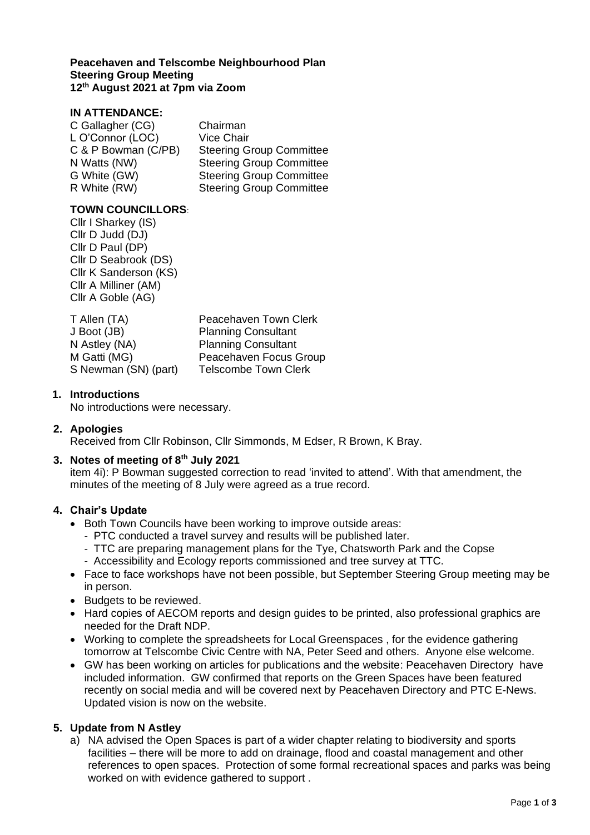#### **Peacehaven and Telscombe Neighbourhood Plan Steering Group Meeting 12th August 2021 at 7pm via Zoom**

# **IN ATTENDANCE:**

| C Gallagher (CG)    | Chairman                        |
|---------------------|---------------------------------|
| L O'Connor (LOC)    | <b>Vice Chair</b>               |
| C & P Bowman (C/PB) | <b>Steering Group Committee</b> |
| N Watts (NW)        | <b>Steering Group Committee</b> |
| G White (GW)        | <b>Steering Group Committee</b> |
| R White (RW)        | <b>Steering Group Committee</b> |

### **TOWN COUNCILLORS**:

Cllr I Sharkey (IS) Cllr D Judd (DJ) Cllr D Paul (DP) Cllr D Seabrook (DS) Cllr K Sanderson (KS) Cllr A Milliner (AM) Cllr A Goble (AG)

| T Allen (TA)         | Peacehaven Town Clerk       |
|----------------------|-----------------------------|
| J Boot (JB)          | <b>Planning Consultant</b>  |
| N Astley (NA)        | <b>Planning Consultant</b>  |
| M Gatti (MG)         | Peacehaven Focus Group      |
| S Newman (SN) (part) | <b>Telscombe Town Clerk</b> |

### **1. Introductions**

No introductions were necessary.

### **2. Apologies**

Received from Cllr Robinson, Cllr Simmonds, M Edser, R Brown, K Bray.

# **3. Notes of meeting of 8th July 2021**

item 4i): P Bowman suggested correction to read 'invited to attend'. With that amendment, the minutes of the meeting of 8 July were agreed as a true record.

### **4. Chair's Update**

- Both Town Councils have been working to improve outside areas:
	- PTC conducted a travel survey and results will be published later.
	- TTC are preparing management plans for the Tye, Chatsworth Park and the Copse
	- Accessibility and Ecology reports commissioned and tree survey at TTC.
- Face to face workshops have not been possible, but September Steering Group meeting may be in person.
- Budgets to be reviewed.
- Hard copies of AECOM reports and design guides to be printed, also professional graphics are needed for the Draft NDP.
- Working to complete the spreadsheets for Local Greenspaces , for the evidence gathering tomorrow at Telscombe Civic Centre with NA, Peter Seed and others. Anyone else welcome.
- GW has been working on articles for publications and the website: Peacehaven Directory have included information. GW confirmed that reports on the Green Spaces have been featured recently on social media and will be covered next by Peacehaven Directory and PTC E-News. Updated vision is now on the website.

### **5. Update from N Astley**

a) NA advised the Open Spaces is part of a wider chapter relating to biodiversity and sports facilities – there will be more to add on drainage, flood and coastal management and other references to open spaces. Protection of some formal recreational spaces and parks was being worked on with evidence gathered to support .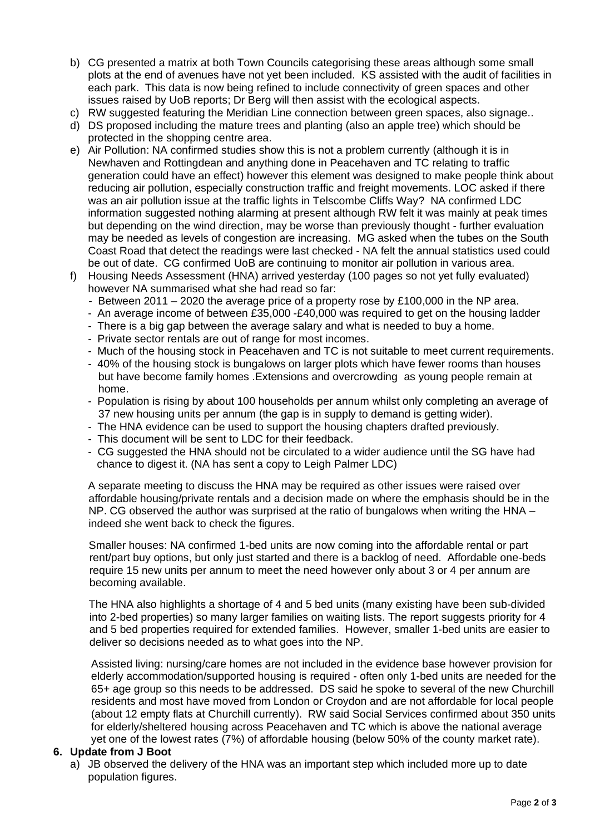- b) CG presented a matrix at both Town Councils categorising these areas although some small plots at the end of avenues have not yet been included. KS assisted with the audit of facilities in each park. This data is now being refined to include connectivity of green spaces and other issues raised by UoB reports; Dr Berg will then assist with the ecological aspects.
- c) RW suggested featuring the Meridian Line connection between green spaces, also signage..
- d) DS proposed including the mature trees and planting (also an apple tree) which should be protected in the shopping centre area.
- e) Air Pollution: NA confirmed studies show this is not a problem currently (although it is in Newhaven and Rottingdean and anything done in Peacehaven and TC relating to traffic generation could have an effect) however this element was designed to make people think about reducing air pollution, especially construction traffic and freight movements. LOC asked if there was an air pollution issue at the traffic lights in Telscombe Cliffs Way? NA confirmed LDC information suggested nothing alarming at present although RW felt it was mainly at peak times but depending on the wind direction, may be worse than previously thought - further evaluation may be needed as levels of congestion are increasing. MG asked when the tubes on the South Coast Road that detect the readings were last checked - NA felt the annual statistics used could be out of date. CG confirmed UoB are continuing to monitor air pollution in various area.
- f) Housing Needs Assessment (HNA) arrived yesterday (100 pages so not yet fully evaluated) however NA summarised what she had read so far:
	- Between 2011 2020 the average price of a property rose by £100,000 in the NP area.
	- An average income of between £35,000 -£40,000 was required to get on the housing ladder
	- There is a big gap between the average salary and what is needed to buy a home.
	- Private sector rentals are out of range for most incomes.
	- Much of the housing stock in Peacehaven and TC is not suitable to meet current requirements.
	- 40% of the housing stock is bungalows on larger plots which have fewer rooms than houses but have become family homes .Extensions and overcrowding as young people remain at home.
	- Population is rising by about 100 households per annum whilst only completing an average of 37 new housing units per annum (the gap is in supply to demand is getting wider).
	- The HNA evidence can be used to support the housing chapters drafted previously.
	- This document will be sent to LDC for their feedback.
	- CG suggested the HNA should not be circulated to a wider audience until the SG have had chance to digest it. (NA has sent a copy to Leigh Palmer LDC)

A separate meeting to discuss the HNA may be required as other issues were raised over affordable housing/private rentals and a decision made on where the emphasis should be in the NP. CG observed the author was surprised at the ratio of bungalows when writing the HNA – indeed she went back to check the figures.

Smaller houses: NA confirmed 1-bed units are now coming into the affordable rental or part rent/part buy options, but only just started and there is a backlog of need. Affordable one-beds require 15 new units per annum to meet the need however only about 3 or 4 per annum are becoming available.

The HNA also highlights a shortage of 4 and 5 bed units (many existing have been sub-divided into 2-bed properties) so many larger families on waiting lists. The report suggests priority for 4 and 5 bed properties required for extended families. However, smaller 1-bed units are easier to deliver so decisions needed as to what goes into the NP.

Assisted living: nursing/care homes are not included in the evidence base however provision for elderly accommodation/supported housing is required - often only 1-bed units are needed for the 65+ age group so this needs to be addressed. DS said he spoke to several of the new Churchill residents and most have moved from London or Croydon and are not affordable for local people (about 12 empty flats at Churchill currently). RW said Social Services confirmed about 350 units for elderly/sheltered housing across Peacehaven and TC which is above the national average yet one of the lowest rates (7%) of affordable housing (below 50% of the county market rate).

### **6. Update from J Boot**

a) JB observed the delivery of the HNA was an important step which included more up to date population figures.